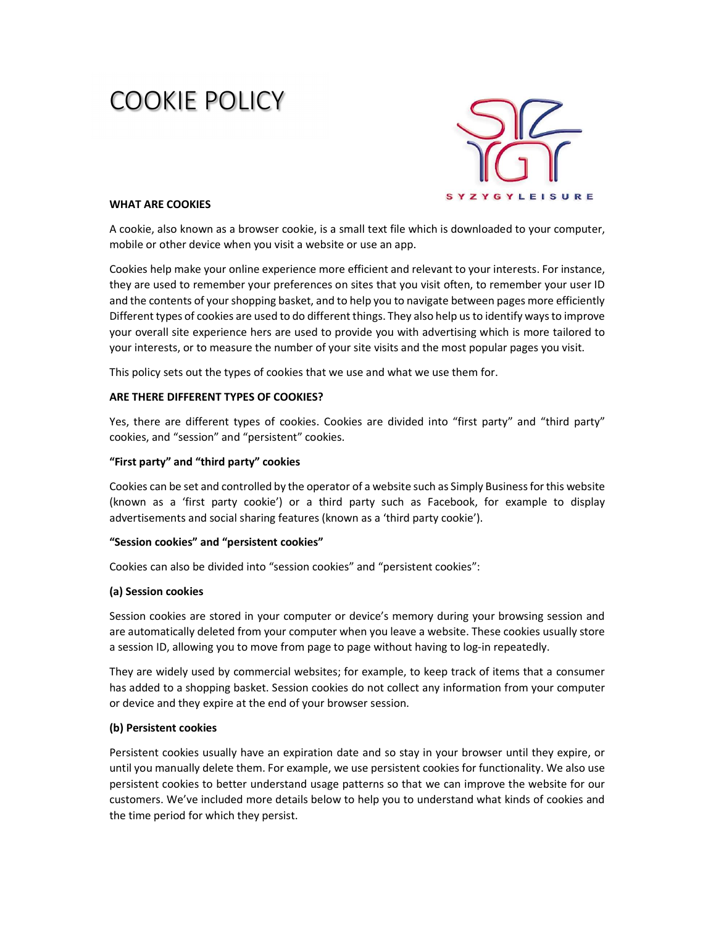# COOKIE POLICY



## WHAT ARE COOKIES

A cookie, also known as a browser cookie, is a small text file which is downloaded to your computer, mobile or other device when you visit a website or use an app.

Cookies help make your online experience more efficient and relevant to your interests. For instance, they are used to remember your preferences on sites that you visit often, to remember your user ID and the contents of your shopping basket, and to help you to navigate between pages more efficiently Different types of cookies are used to do different things. They also help us to identify ways to improve your overall site experience hers are used to provide you with advertising which is more tailored to your interests, or to measure the number of your site visits and the most popular pages you visit.

This policy sets out the types of cookies that we use and what we use them for.

# ARE THERE DIFFERENT TYPES OF COOKIES?

Yes, there are different types of cookies. Cookies are divided into "first party" and "third party" cookies, and "session" and "persistent" cookies.

## "First party" and "third party" cookies

Cookies can be set and controlled by the operator of a website such as Simply Business for this website (known as a 'first party cookie') or a third party such as Facebook, for example to display advertisements and social sharing features (known as a 'third party cookie').

#### "Session cookies" and "persistent cookies"

Cookies can also be divided into "session cookies" and "persistent cookies":

#### (a) Session cookies

Session cookies are stored in your computer or device's memory during your browsing session and are automatically deleted from your computer when you leave a website. These cookies usually store a session ID, allowing you to move from page to page without having to log-in repeatedly.

They are widely used by commercial websites; for example, to keep track of items that a consumer has added to a shopping basket. Session cookies do not collect any information from your computer or device and they expire at the end of your browser session.

#### (b) Persistent cookies

Persistent cookies usually have an expiration date and so stay in your browser until they expire, or until you manually delete them. For example, we use persistent cookies for functionality. We also use persistent cookies to better understand usage patterns so that we can improve the website for our customers. We've included more details below to help you to understand what kinds of cookies and the time period for which they persist.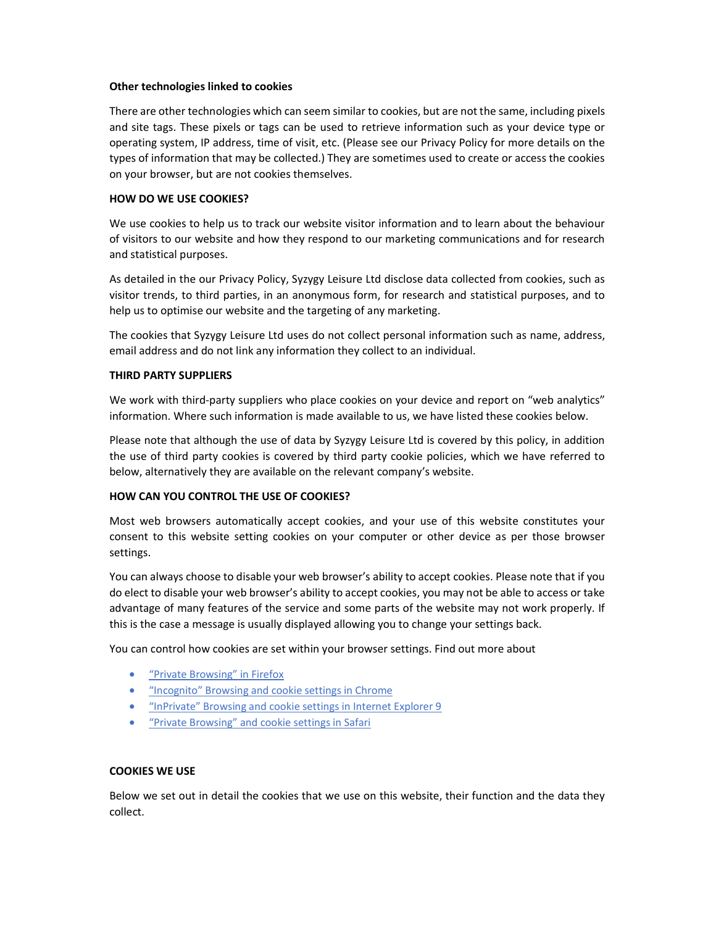## Other technologies linked to cookies

There are other technologies which can seem similar to cookies, but are not the same, including pixels and site tags. These pixels or tags can be used to retrieve information such as your device type or operating system, IP address, time of visit, etc. (Please see our Privacy Policy for more details on the types of information that may be collected.) They are sometimes used to create or access the cookies on your browser, but are not cookies themselves.

# HOW DO WE USE COOKIES?

We use cookies to help us to track our website visitor information and to learn about the behaviour of visitors to our website and how they respond to our marketing communications and for research and statistical purposes.

As detailed in the our Privacy Policy, Syzygy Leisure Ltd disclose data collected from cookies, such as visitor trends, to third parties, in an anonymous form, for research and statistical purposes, and to help us to optimise our website and the targeting of any marketing.

The cookies that Syzygy Leisure Ltd uses do not collect personal information such as name, address, email address and do not link any information they collect to an individual.

# THIRD PARTY SUPPLIERS

We work with third-party suppliers who place cookies on your device and report on "web analytics" information. Where such information is made available to us, we have listed these cookies below.

Please note that although the use of data by Syzygy Leisure Ltd is covered by this policy, in addition the use of third party cookies is covered by third party cookie policies, which we have referred to below, alternatively they are available on the relevant company's website.

# HOW CAN YOU CONTROL THE USE OF COOKIES?

Most web browsers automatically accept cookies, and your use of this website constitutes your consent to this website setting cookies on your computer or other device as per those browser settings.

You can always choose to disable your web browser's ability to accept cookies. Please note that if you do elect to disable your web browser's ability to accept cookies, you may not be able to access or take advantage of many features of the service and some parts of the website may not work properly. If this is the case a message is usually displayed allowing you to change your settings back.

You can control how cookies are set within your browser settings. Find out more about

- "Private Browsing" in Firefox
- "Incognito" Browsing and cookie settings in Chrome
- "InPrivate" Browsing and cookie settings in Internet Explorer 9
- "Private Browsing" and cookie settings in Safari

## COOKIES WE USE

Below we set out in detail the cookies that we use on this website, their function and the data they collect.